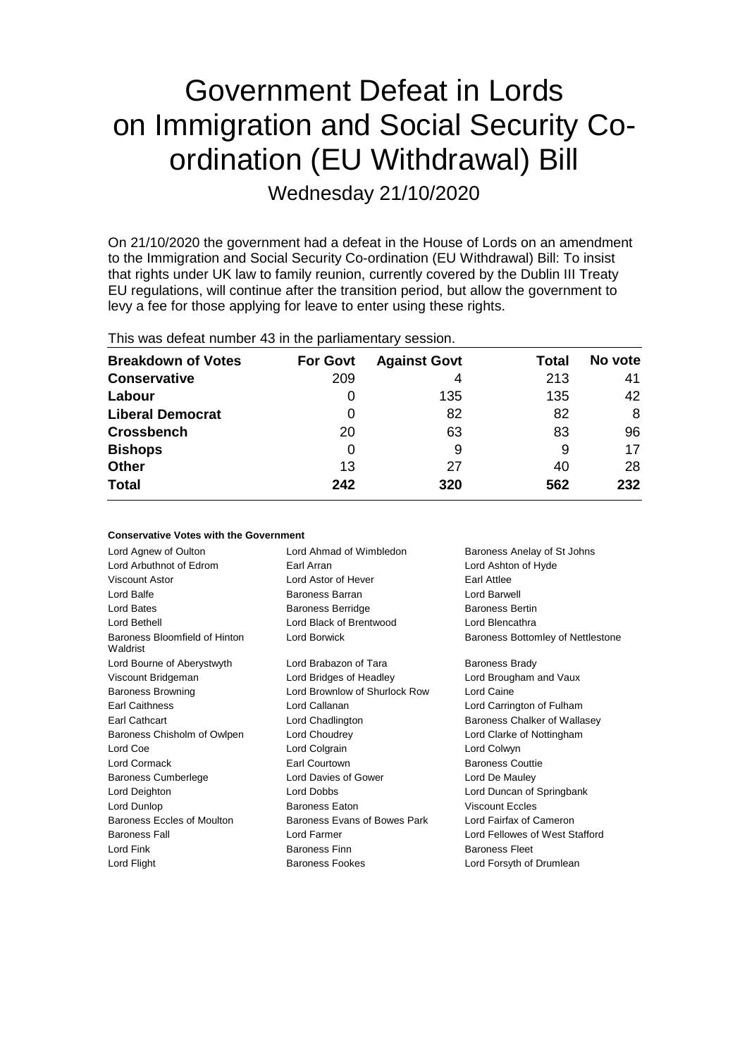# Government Defeat in Lords on Immigration and Social Security Coordination (EU Withdrawal) Bill

Wednesday 21/10/2020

On 21/10/2020 the government had a defeat in the House of Lords on an amendment to the Immigration and Social Security Co-ordination (EU Withdrawal) Bill: To insist that rights under UK law to family reunion, currently covered by the Dublin III Treaty EU regulations, will continue after the transition period, but allow the government to levy a fee for those applying for leave to enter using these rights.

|  | This was defeat number 43 in the parliamentary session. |
|--|---------------------------------------------------------|
|--|---------------------------------------------------------|

| <b>Breakdown of Votes</b> | <b>For Govt</b> | <b>Against Govt</b> | Total | No vote |
|---------------------------|-----------------|---------------------|-------|---------|
| <b>Conservative</b>       | 209             | 4                   | 213   | 41      |
| Labour                    | O               | 135                 | 135   | 42      |
| <b>Liberal Democrat</b>   | O               | 82                  | 82    | 8       |
| <b>Crossbench</b>         | 20              | 63                  | 83    | 96      |
| <b>Bishops</b>            | 0               | 9                   | 9     | 17      |
| <b>Other</b>              | 13              | 27                  | 40    | 28      |
| <b>Total</b>              | 242             | 320                 | 562   | 232     |

| <b>Conservative Votes with the Government</b> |                               |                                   |
|-----------------------------------------------|-------------------------------|-----------------------------------|
| Lord Agnew of Oulton                          | Lord Ahmad of Wimbledon       | Baroness Anelay of St Johns       |
| Lord Arbuthnot of Edrom                       | Farl Arran                    | Lord Ashton of Hyde               |
| Viscount Astor                                | Lord Astor of Hever           | <b>Farl Attlee</b>                |
| Lord Balfe                                    | Baroness Barran               | Lord Barwell                      |
| <b>Lord Bates</b>                             | <b>Baroness Berridge</b>      | <b>Baroness Bertin</b>            |
| <b>Lord Bethell</b>                           | Lord Black of Brentwood       | Lord Blencathra                   |
| Baroness Bloomfield of Hinton<br>Waldrist     | Lord Borwick                  | Baroness Bottomley of Nettlestone |
| Lord Bourne of Aberystwyth                    | Lord Brabazon of Tara         | <b>Baroness Brady</b>             |
| Viscount Bridgeman                            | Lord Bridges of Headley       | Lord Brougham and Vaux            |
| <b>Baroness Browning</b>                      | Lord Brownlow of Shurlock Row | Lord Caine                        |
| <b>Earl Caithness</b>                         | Lord Callanan                 | Lord Carrington of Fulham         |
| <b>Farl Cathcart</b>                          | Lord Chadlington              | Baroness Chalker of Wallasey      |
| Baroness Chisholm of Owlpen                   | Lord Choudrey                 | Lord Clarke of Nottingham         |
| Lord Coe                                      | Lord Colgrain                 | Lord Colwyn                       |
| Lord Cormack                                  | <b>Farl Courtown</b>          | <b>Baroness Couttie</b>           |
| <b>Baroness Cumberlege</b>                    | Lord Davies of Gower          | Lord De Mauley                    |
| Lord Deighton                                 | Lord Dobbs                    | Lord Duncan of Springbank         |
| Lord Dunlop                                   | <b>Baroness Faton</b>         | <b>Viscount Eccles</b>            |
| Baroness Eccles of Moulton                    | Baroness Evans of Bowes Park  | Lord Fairfax of Cameron           |
| <b>Baroness Fall</b>                          | Lord Farmer                   | Lord Fellowes of West Stafford    |
| Lord Fink                                     | <b>Baroness Finn</b>          | <b>Baroness Fleet</b>             |
| Lord Flight                                   | <b>Baroness Fookes</b>        | Lord Forsyth of Drumlean          |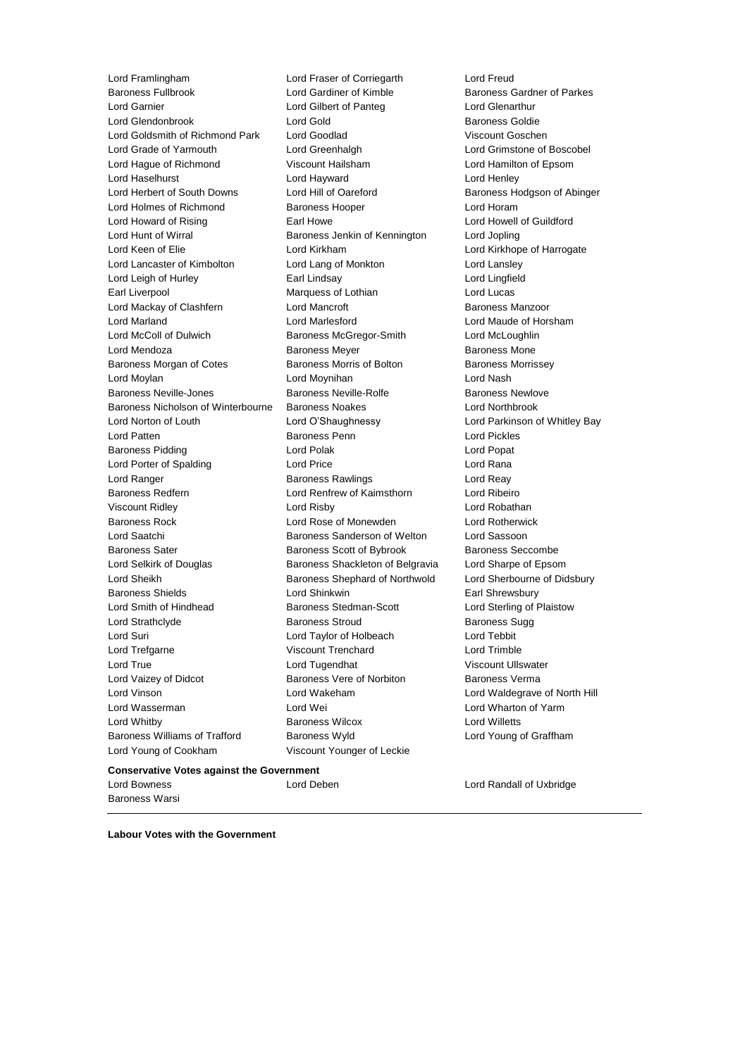Lord Framlingham Lord Fraser of Corriegarth Lord Freud Lord Garnier Lord Gilbert of Panteg Lord Glenarthur Lord Glendonbrook Lord Gold Baroness Goldie Lord Goldsmith of Richmond Park Lord Goodlad Viscount Goschen Lord Grade of Yarmouth Lord Greenhalgh Lord Grimstone of Boscobel Lord Hague of Richmond Viscount Hailsham Lord Hamilton of Epsom Lord Haselhurst Lord Hayward Lord Henley Lord Herbert of South Downs Lord Hill of Oareford Baroness Hodgson of Abinger Lord Holmes of Richmond Baroness Hooper **Lord Horam** Lord Howard of Rising **Earl Howe Lord Howell of Guildford** Lord Hunt of Wirral **Baroness Jenkin of Kennington** Lord Jopling Lord Keen of Elie Lord Kirkham Lord Kirkhope of Harrogate Lord Lancaster of Kimbolton Lord Lang of Monkton Lord Lansley Lord Leigh of Hurley Earl Lindsay Lord Lingfield Earl Liverpool **Earl Liverpool** Marquess of Lothian **Lord Lucas** Lord Mackay of Clashfern **Lord Mancroft Baroness Manzoor** Baroness Manzoor Lord Marland Lord Marlesford Lord Maude of Horsham Lord McColl of Dulwich Baroness McGregor-Smith Lord McLoughlin Lord Mendoza **Baroness Meyer** Baroness Meyer Baroness Mone Baroness Morgan of Cotes **Baroness Morris of Bolton** Baroness Morrissey Lord Moylan Lord Moynihan Lord Nash Baroness Neville-Jones **Baroness Neville-Rolfe Baroness Newlove** Baroness Newlove Baroness Nicholson of Winterbourne Baroness Noakes Lord Northbrook Lord Norton of Louth Lord O'Shaughnessy Lord Parkinson of Whitley Bay Lord Patten Baroness Penn Lord Pickles Baroness Pidding Lord Polak Lord Popat Lord Porter of Spalding Lord Price Lord Rana Lord Ranger **Baroness Rawlings** Lord Reay Baroness Redfern Lord Renfrew of Kaimsthorn Lord Ribeiro Viscount Ridley Lord Risby Lord Robathan Baroness Rock Lord Rose of Monewden Lord Rotherwick Lord Saatchi Baroness Sanderson of Welton Lord Sassoon Baroness Sater **Baroness Scott of Bybrook** Baroness Seccombe Lord Selkirk of Douglas Baroness Shackleton of Belgravia Lord Sharpe of Epsom Lord Sheikh Baroness Shephard of Northwold Lord Sherbourne of Didsbury Baroness Shields **Lord Shinkwin** Earl Shrewsbury Lord Smith of Hindhead Baroness Stedman-Scott Lord Sterling of Plaistow Lord Strathclyde **Baroness Stroud** Baroness Sugg Baroness Sugg Lord Suri Lord Taylor of Holbeach Lord Tebbit Lord Trefgarne Viscount Trenchard Lord Trimble Lord True **Lord Tugendhat** Viscount Ullswater Lord Vaizey of Didcot **Baroness Vere of Norbiton** Baroness Verma Lord Vinson Lord Wakeham Lord Waldegrave of North Hill Lord Wasserman Lord Wei Lord Wharton of Yarm Lord Whitby Baroness Wilcox Lord Willetts Baroness Williams of Trafford Baroness Wyld Lord Young of Graffham Lord Young of Cookham Viscount Younger of Leckie

Lord Gardiner of Kimble **Baroness Gardner of Parkes** 

#### **Conservative Votes against the Government**

Baroness Warsi

Lord Bowness Lord Deben Lord Randall of Uxbridge

**Labour Votes with the Government**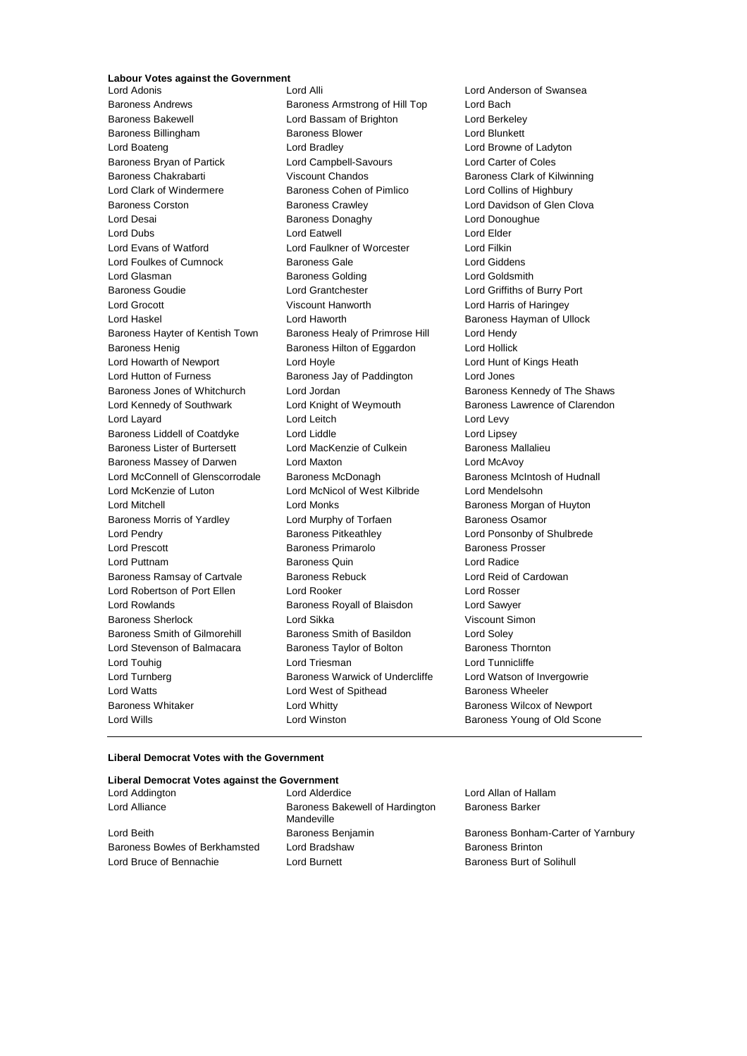## **Labour Votes against the Government**

Baroness Andrews **Baroness Armstrong of Hill Top** Lord Bach<br>Baroness Bakewell **Bach Lord Bassam of Brighton** Lord Berke Baroness Billingham Baroness Blower Baroness Blower Lord Blunkett Lord Boateng Lord Bradley Lord Browne of Ladyton Baroness Bryan of Partick Lord Campbell-Savours Lord Carter of Coles Baroness Chakrabarti Viscount Chandos Baroness Clark of Kilwinning Lord Clark of Windermere Baroness Cohen of Pimlico Lord Collins of Highbury Baroness Corston Baroness Crawley Lord Davidson of Glen Clova Lord Desai **Baroness Donaghy** Lord Donoughue Lord Dubs Lord Eatwell Lord Elder Lord Evans of Watford Lord Faulkner of Worcester Lord Filkin Lord Foulkes of Cumnock Baroness Gale Lord Giddens Lord Glasman Baroness Golding Lord Goldsmith Baroness Goudie Lord Grantchester Lord Griffiths of Burry Port Lord Grocott Viscount Hanworth Lord Harris of Haringey Lord Haskel **Lord Haworth** Lord Haworth **Baroness Hayman of Ullock** Baroness Hayter of Kentish Town Baroness Healy of Primrose Hill Lord Hendy Baroness Henig **Baroness Hilton of Eggardon** Lord Hollick Lord Howarth of Newport Lord Hoyle Lord Hunt of Kings Heath Lord Hutton of Furness **Baroness Jay of Paddington** Lord Jones Baroness Jones of Whitchurch Lord Jordan Baroness Kennedy of The Shaws Lord Kennedy of Southwark Lord Knight of Weymouth Baroness Lawrence of Clarendon Lord Layard **Lord Leitch** Lord Leitch **Lord Levy** Baroness Liddell of Coatdyke Lord Liddle Lord Lines Lord Lipsey Baroness Lister of Burtersett Lord MacKenzie of Culkein Baroness Mallalieu Baroness Massey of Darwen Lord Maxton Lord McAvoy Lord McConnell of Glenscorrodale Baroness McDonagh Baroness McIntosh of Hudnall<br>
Lord McKenzie of Luton Lord McNicol of West Kilbride Lord Mendelsohn Lord Mitchell Lord Monks Baroness Morgan of Huyton Baroness Morris of Yardley **Lord Murphy of Torfaen** Baroness Osamor Lord Pendry **Baroness Pitkeathley Baroness Pitkeathley Lord Ponsonby of Shulbrede** Lord Prescott Baroness Primarolo Baroness Prosser Lord Puttnam Baroness Quin Lord Radice Baroness Ramsay of Cartvale Baroness Rebuck Lord Reid of Cardowan Lord Robertson of Port Ellen Lord Rooker Lord Rosser Lord Rowlands Baroness Royall of Blaisdon Lord Sawyer Baroness Sherlock Lord Sikka Viscount Simon Baroness Smith of Gilmorehill Baroness Smith of Basildon Lord Soley Lord Stevenson of Balmacara Baroness Taylor of Bolton Baroness Thornton Lord Touhig Lord Triesman Lord Tunnicliffe Lord Turnberg **Baroness Warwick of Undercliffe** Lord Watson of Invergowrie Lord Watts **Lord West of Spithead** Baroness Wheeler Baroness Whitaker **Lord Whitty Lord Whitty** Baroness Wilcox of Newport Lord Wills Lord Winston Baroness Young of Old Scone

Lord Bassam of Brighton Lord Berkeley Lord McNicol of West Kilbride Lord Mendelsohn

**Lord Anderson of Swansea** 

#### **Liberal Democrat Votes with the Government**

#### **Liberal Democrat Votes against the Government**

| Lord Addington                 | Lord Alderdice                                | Lord Allan of Hallam               |
|--------------------------------|-----------------------------------------------|------------------------------------|
| Lord Alliance                  | Baroness Bakewell of Hardington<br>Mandeville | <b>Baroness Barker</b>             |
| Lord Beith                     | Baroness Benjamin                             | Baroness Bonham-Carter of Yarnbury |
| Baroness Bowles of Berkhamsted | Lord Bradshaw                                 | <b>Baroness Brinton</b>            |
| Lord Bruce of Bennachie        | Lord Burnett                                  | Baroness Burt of Solihull          |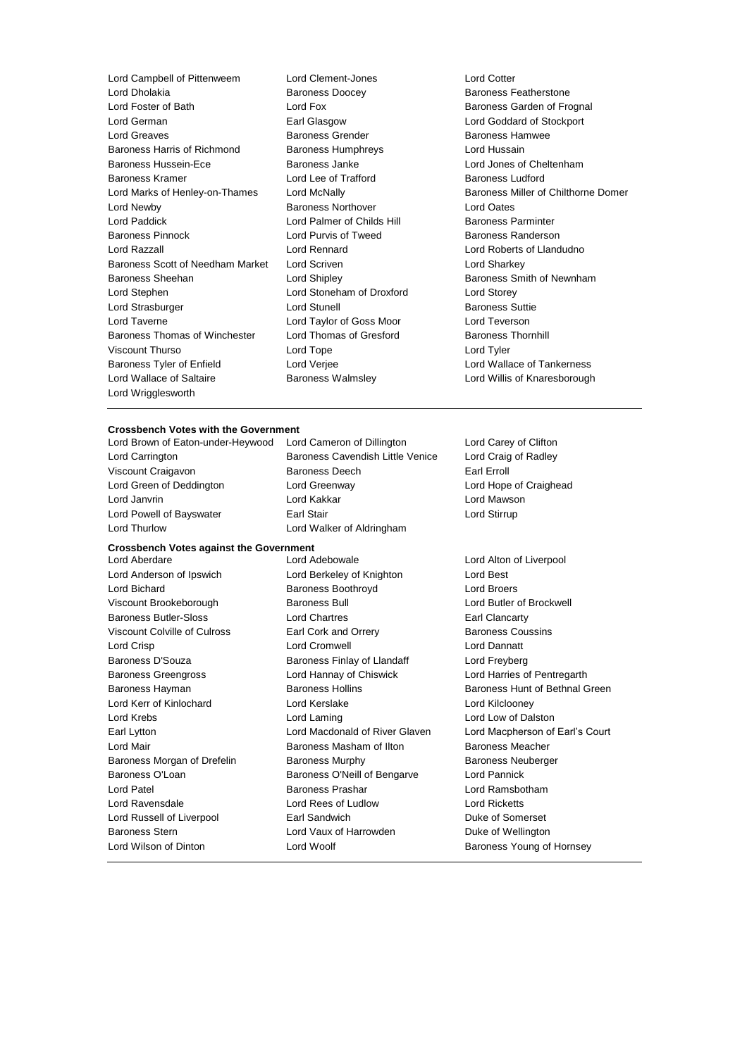Lord Campbell of Pittenweem Lord Clement-Jones Lord Cotter Lord Dholakia **Baroness Doocey** Baroness Peatherstone<br>
Lord Fox Lord Fox Baroness Garden of Free Baroness Garden of Free Baroness Garden of Free Baroness Garden of Fre Lord German Earl Glasgow Lord Goddard of Stockport Lord Greaves **Baroness Grender** Baroness Hamwee Baroness Hamwee Baroness Harris of Richmond Baroness Humphreys Lord Hussain Baroness Hussein-Ece Baroness Janke Lord Jones of Cheltenham Baroness Kramer Lord Lee of Trafford Baroness Ludford Lord Marks of Henley-on-Thames Lord McNally Baroness Miller of Chilthorne Domer Lord Newby Baroness Northover Lord Oates Lord Paddick **Lord Palmer of Childs Hill Baroness Parminter** Baroness Pinnock **Example 2** Lord Purvis of Tweed Baroness Randerson Lord Razzall Lord Rennard Lord Roberts of Llandudno Baroness Scott of Needham Market Lord Scriven Lord Charless Scott of Needham Market Lord Scriven Baroness Sheehan **Baroness** Sheehan Lord Shipley **Baroness Smith of Newnham** Lord Stephen Lord Stoneham of Droxford Lord Storey Lord Strasburger **Lord Stunell** Lord Stunell **Baroness** Suttie Lord Taverne Lord Taylor of Goss Moor Lord Teverson Baroness Thomas of Winchester Lord Thomas of Gresford Baroness Thornhill Viscount Thurso Lord Tope Lord Tyler Baroness Tyler of Enfield Lord Verjee Lord Wallace of Tankerness Lord Wallace of Saltaire **Baroness Walmsley Communist Cord Willis of Knaresborough** Lord Wrigglesworth

Lord Fox **Baroness Garden of Frognal** 

#### **Crossbench Votes with the Government**

#### **Crossbench Votes against the Government**

Viscount Brookeborough Baroness Bull Lord Butler of Brockwell Baroness Butler-Sloss Lord Chartres Earl Clancarty Viscount Colville of Culross **Earl Cork and Orrery Baroness Coussins** Lord Crisp Lord Cromwell Lord Dannatt Baroness D'Souza **Baroness Finlay of Llandaff** Lord Freyberg Baroness Greengross Lord Hannay of Chiswick Lord Harries of Pentregarth Lord Kerr of Kinlochard Lord Kerslake Lord Kilclooney Lord Krebs Lord Laming Lord Low of Dalston Lord Mair Baroness Masham of Ilton Baroness Meacher Baroness Morgan of Drefelin Baroness Murphy Baroness Neuberger Baroness O'Loan Baroness O'Neill of Bengarve Lord Pannick Lord Patel Baroness Prashar Lord Ramsbotham Lord Ravensdale Lord Rees of Ludlow Lord Ricketts Lord Russell of Liverpool **Earl Sandwich Communist Communist Communist** Duke of Somerset Baroness Stern **Example 2** Lord Vaux of Harrowden **Duke of Wellington** Lord Wilson of Dinton **Lord Woolf Lord Woolf Baroness Young of Hornsey** 

Lord Brown of Eaton-under-Heywood Lord Cameron of Dillington Lord Carey of Clifton Lord Carrington **Baroness Cavendish Little Venice** Lord Craig of Radley Viscount Craigavon **Baroness Deech** Earl Erroll Lord Green of Deddington Lord Greenway Lord Hope of Craighead Lord Janvrin Lord Kakkar Lord Mawson Lord Powell of Bayswater **Earl Stair** Earl Stair **Earl Stair** Lord Stirrup Lord Thurlow Lord Walker of Aldringham Lord Aberdare Lord Adebowale Lord Alton of Liverpool Lord Anderson of Ipswich Lord Berkeley of Knighton Lord Best Lord Bichard **Baroness Boothroyd** Lord Broers Lord Broers

Baroness Hayman **Baroness Hollins** Baroness Hollins Baroness Hunt of Bethnal Green Earl Lytton Lord Macdonald of River Glaven Lord Macpherson of Earl's Court